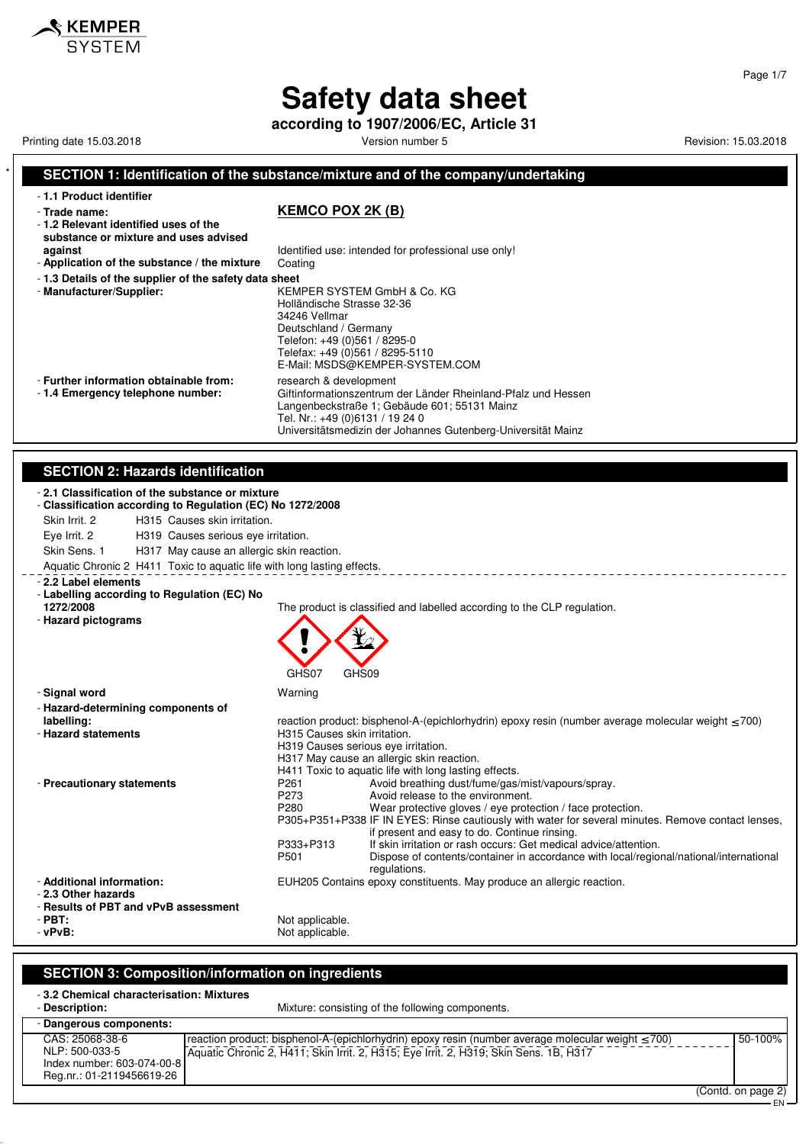**according to 1907/2006/EC, Article 31**

Printing date 15.03.2018 **Printing date 15.03.2018** Version number 5 Revision: 15.03.2018

 $\boldsymbol{\mathsf{\$} }$  KEMPER

#### **SECTION 1: Identification of the substance/mixture and of the company/undertaking** - **1.1 Product identifier** - **Trade name: KEMCO POX 2K (B)** - **1.2 Relevant identified uses of the substance or mixture and uses advised against against Identified use: intended for professional use only!**<br>**Application of the substance / the mixture** Coating - Application of the substance / the mixture - **1.3 Details of the supplier of the safety data sheet** - **Manufacturer/Supplier:** KEMPER SYSTEM GmbH & Co. KG Holländische Strasse 32-36 34246 Vellmar Deutschland / Germany Telefon: +49 (0)561 / 8295-0 Telefax: +49 (0)561 / 8295-5110 E-Mail: MSDS@KEMPER-SYSTEM.COM - **Further information obtainable from:** research & development<br>- 1.4 **Emergency telephone number:** Giftinformationszentrum Giftinformationszentrum der Länder Rheinland-Pfalz und Hessen Langenbeckstraße 1; Gebäude 601; 55131 Mainz Tel. Nr.: +49 (0)6131 / 19 24 0 Universitätsmedizin der Johannes Gutenberg-Universität Mainz **SECTION 2: Hazards identification** - **2.1 Classification of the substance or mixture** - **Classification according to Regulation (EC) No 1272/2008** Skin Irrit. 2 H315 Causes skin irritation. Eye Irrit. 2 H319 Causes serious eye irritation. Skin Sens. 1 H317 May cause an allergic skin reaction. Aquatic Chronic 2 H411 Toxic to aquatic life with long lasting effects. \_\_\_\_\_\_\_\_\_\_\_\_\_\_\_\_\_\_\_\_\_\_\_\_\_\_\_\_\_\_\_\_ - **2.2 Label elements** - **Labelling according to Regulation (EC) No** The product is classified and labelled according to the CLP regulation. - **Hazard pictograms** GHS07 GHS09 - **Signal word** Warning - **Hazard-determining components of labelling:** reaction product: bisphenol-A-(epichlorhydrin) epoxy resin (number average molecular weight ≤ 700)<br>Primate Hazard statements **H315 Causes skin irritation.** H319 Causes serious eye irritation. H317 May cause an allergic skin reaction. H411 Toxic to aquatic life with long lasting effects. - **Precautionary statements** P261 Avoid breathing dust/fume/gas/mist/vapours/spray. P273 Avoid release to the environment.<br>P280 Wear protective gloves / eve prote Wear protective gloves / eye protection / face protection. P305+P351+P338 IF IN EYES: Rinse cautiously with water for several minutes. Remove contact lenses, if present and easy to do. Continue rinsing. P333+P313 If skin irritation or rash occurs: Get medical advice/attention.<br>P501 Dispose of contents/container in accordance with local/region Dispose of contents/container in accordance with local/regional/national/international regulations. - **Additional information:** EUH205 Contains epoxy constituents. May produce an allergic reaction. - **2.3 Other hazards** - **Results of PBT and vPvB assessment** - **PBT:**<br>
- vPvR:<br>
- vPvR: Not applicable.

#### **SECTION 3: Composition/information on ingredients**

| -3.2 Chemical characterisation: Mixtures |                                                                                                         |                         |
|------------------------------------------|---------------------------------------------------------------------------------------------------------|-------------------------|
| - Description:                           | Mixture: consisting of the following components.                                                        |                         |
| - Dangerous components:                  |                                                                                                         |                         |
| CAS: 25068-38-6                          | reaction product: bisphenol-A-(epichlorhydrin) epoxy resin (number average molecular weight $\leq$ 700) | 50-100%                 |
| NLP: 500-033-5                           | Aquatic Chronic 2, H411; Skin Irrit. 2, H315; Eye Irrit. 2, H319; Skin Sens. 1B, H317                   |                         |
| Index number: 603-074-00-8               |                                                                                                         |                         |
| Reg.nr.: 01-2119456619-26                |                                                                                                         |                         |
|                                          |                                                                                                         | $(Control$ an naga $()$ |

#### Page 1/7

(Contd. on page 2) EN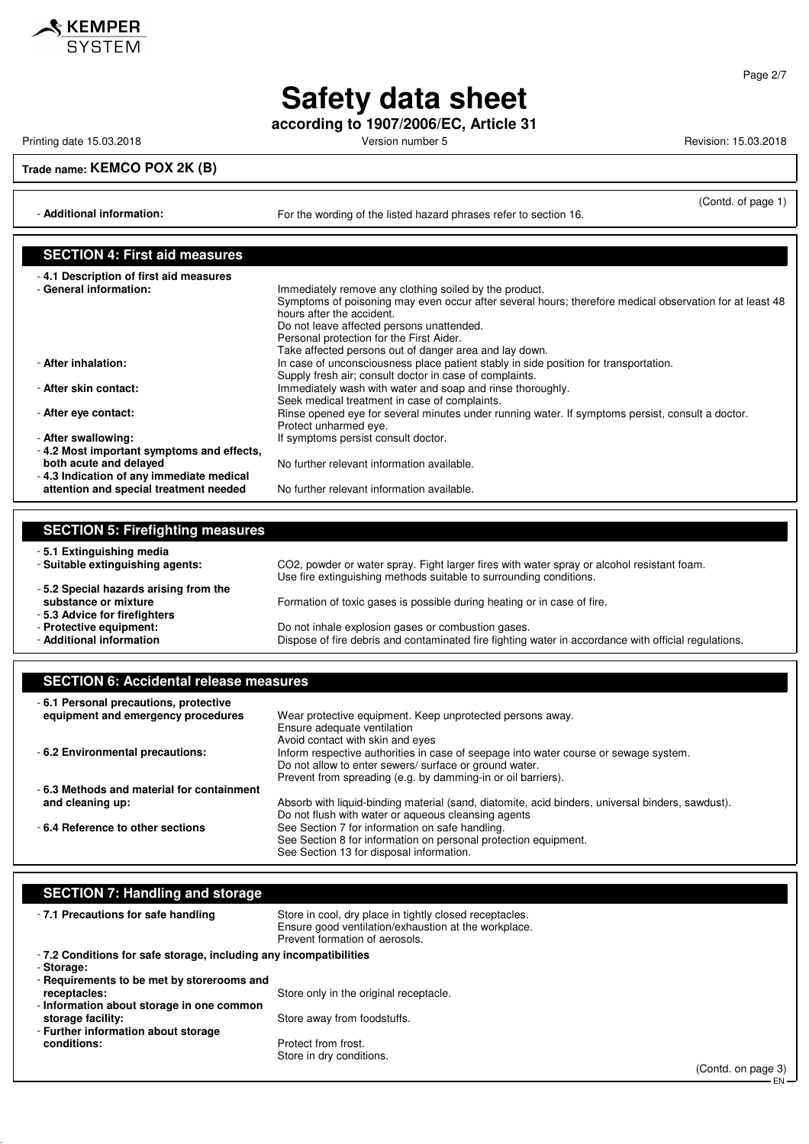

**according to 1907/2006/EC, Article 31**

Printing date 15.03.2018 **Printing date 15.03.2018** Version number 5 Revision: 15.03.2018

**KEMPER**<br>SYSTEM

**Trade name: KEMCO POX 2K (B)**

- **Additional information:** For the wording of the listed hazard phrases refer to section 16.

(Contd. of page 1)

EN

| <b>SECTION 4: First aid measures</b>      |                                                                                                         |
|-------------------------------------------|---------------------------------------------------------------------------------------------------------|
| -4.1 Description of first aid measures    |                                                                                                         |
| - General information:                    | Immediately remove any clothing soiled by the product.                                                  |
|                                           | Symptoms of poisoning may even occur after several hours; therefore medical observation for at least 48 |
|                                           | hours after the accident.                                                                               |
|                                           | Do not leave affected persons unattended.                                                               |
|                                           | Personal protection for the First Aider.                                                                |
|                                           | Take affected persons out of danger area and lay down.                                                  |
| - After inhalation:                       | In case of unconsciousness place patient stably in side position for transportation.                    |
|                                           | Supply fresh air; consult doctor in case of complaints.                                                 |
| - After skin contact:                     | Immediately wash with water and soap and rinse thoroughly.                                              |
|                                           | Seek medical treatment in case of complaints.                                                           |
| - After eye contact:                      | Rinse opened eye for several minutes under running water. If symptoms persist, consult a doctor.        |
|                                           | Protect unharmed eye.                                                                                   |
| - After swallowing:                       | If symptoms persist consult doctor.                                                                     |
| -4.2 Most important symptoms and effects, |                                                                                                         |
| both acute and delayed                    | No further relevant information available.                                                              |
| -4.3 Indication of any immediate medical  |                                                                                                         |
| attention and special treatment needed    | No further relevant information available.                                                              |

| <b>SECTION 5: Firefighting measures</b> |                                                                                                                                                                  |
|-----------------------------------------|------------------------------------------------------------------------------------------------------------------------------------------------------------------|
| -5.1 Extinguishing media                |                                                                                                                                                                  |
| - Suitable extinguishing agents:        | CO2, powder or water spray. Fight larger fires with water spray or alcohol resistant foam.<br>Use fire extinguishing methods suitable to surrounding conditions. |
| -5.2 Special hazards arising from the   |                                                                                                                                                                  |
| substance or mixture                    | Formation of toxic gases is possible during heating or in case of fire.                                                                                          |
| -5.3 Advice for firefighters            |                                                                                                                                                                  |
| - Protective equipment:                 | Do not inhale explosion gases or combustion gases.                                                                                                               |
| - Additional information                | Dispose of fire debris and contaminated fire fighting water in accordance with official regulations.                                                             |

|  |  |  | <b>SECTION 6: Accidental release measures</b> |
|--|--|--|-----------------------------------------------|
|--|--|--|-----------------------------------------------|

| -6.1 Personal precautions, protective     |                                                                                                  |
|-------------------------------------------|--------------------------------------------------------------------------------------------------|
| equipment and emergency procedures        | Wear protective equipment. Keep unprotected persons away.                                        |
|                                           | Ensure adequate ventilation                                                                      |
|                                           | Avoid contact with skin and eyes                                                                 |
| - 6.2 Environmental precautions:          | Inform respective authorities in case of seepage into water course or sewage system.             |
|                                           | Do not allow to enter sewers/ surface or ground water.                                           |
|                                           | Prevent from spreading (e.g. by damming-in or oil barriers).                                     |
| -6.3 Methods and material for containment |                                                                                                  |
| and cleaning up:                          | Absorb with liquid-binding material (sand, diatomite, acid binders, universal binders, sawdust). |
|                                           | Do not flush with water or aqueous cleansing agents                                              |
| -6.4 Reference to other sections          | See Section 7 for information on safe handling.                                                  |
|                                           | See Section 8 for information on personal protection equipment.                                  |
|                                           | See Section 13 for disposal information.                                                         |

| <b>SECTION 7: Handling and storage</b>                            |                                                                                                                                                   |                    |
|-------------------------------------------------------------------|---------------------------------------------------------------------------------------------------------------------------------------------------|--------------------|
| -7.1 Precautions for safe handling                                | Store in cool, dry place in tightly closed receptacles.<br>Ensure good ventilation/exhaustion at the workplace.<br>Prevent formation of aerosols. |                    |
| -7.2 Conditions for safe storage, including any incompatibilities |                                                                                                                                                   |                    |
| - Storage:                                                        |                                                                                                                                                   |                    |
| - Requirements to be met by storerooms and                        |                                                                                                                                                   |                    |
| receptacles:                                                      | Store only in the original receptacle.                                                                                                            |                    |
| - Information about storage in one common                         |                                                                                                                                                   |                    |
| storage facility:                                                 | Store away from foodstuffs.                                                                                                                       |                    |
| - Further information about storage                               |                                                                                                                                                   |                    |
| conditions:                                                       | Protect from frost.                                                                                                                               |                    |
|                                                                   | Store in dry conditions.                                                                                                                          |                    |
|                                                                   |                                                                                                                                                   |                    |
|                                                                   |                                                                                                                                                   | (Contd. on page 3) |

Page 2/7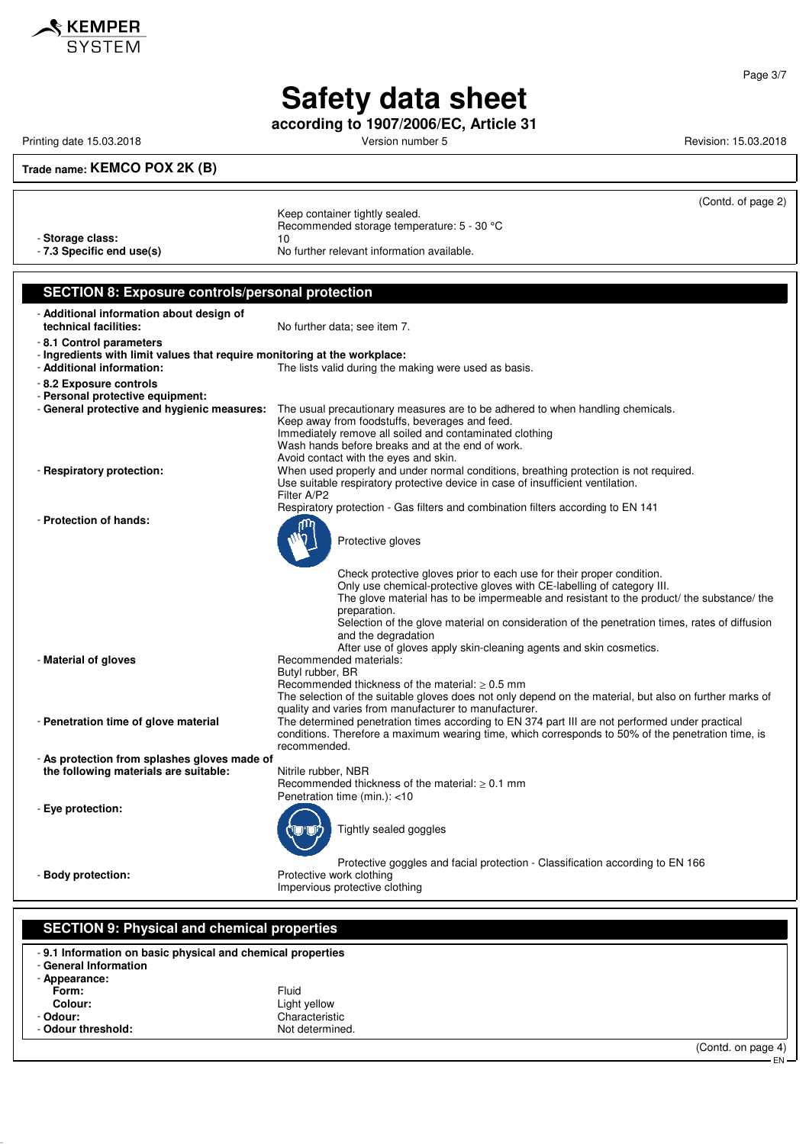

**according to 1907/2006/EC, Article 31**

Printing date 15.03.2018 **Printing date 15.03.2018** Version number 5 Revision: 15.03.2018

### **Trade name: KEMCO POX 2K (B)**

|                                                                                       | (Contd. of page 2)                                                                                                                                               |
|---------------------------------------------------------------------------------------|------------------------------------------------------------------------------------------------------------------------------------------------------------------|
|                                                                                       | Keep container tightly sealed.                                                                                                                                   |
|                                                                                       | Recommended storage temperature: 5 - 30 °C                                                                                                                       |
| - Storage class:                                                                      | 10                                                                                                                                                               |
| - 7.3 Specific end use(s)                                                             | No further relevant information available.                                                                                                                       |
|                                                                                       |                                                                                                                                                                  |
| <b>SECTION 8: Exposure controls/personal protection</b>                               |                                                                                                                                                                  |
|                                                                                       |                                                                                                                                                                  |
| - Additional information about design of<br>technical facilities:                     | No further data; see item 7.                                                                                                                                     |
| -8.1 Control parameters                                                               |                                                                                                                                                                  |
| - Ingredients with limit values that require monitoring at the workplace:             |                                                                                                                                                                  |
| - Additional information:                                                             | The lists valid during the making were used as basis.                                                                                                            |
| - 8.2 Exposure controls                                                               |                                                                                                                                                                  |
| - Personal protective equipment:                                                      |                                                                                                                                                                  |
| - General protective and hygienic measures:                                           | The usual precautionary measures are to be adhered to when handling chemicals.                                                                                   |
|                                                                                       | Keep away from foodstuffs, beverages and feed.<br>Immediately remove all soiled and contaminated clothing                                                        |
|                                                                                       | Wash hands before breaks and at the end of work.                                                                                                                 |
|                                                                                       | Avoid contact with the eyes and skin.                                                                                                                            |
| - Respiratory protection:                                                             | When used properly and under normal conditions, breathing protection is not required.                                                                            |
|                                                                                       | Use suitable respiratory protective device in case of insufficient ventilation.<br>Filter A/P2                                                                   |
|                                                                                       | Respiratory protection - Gas filters and combination filters according to EN 141                                                                                 |
| - Protection of hands:                                                                |                                                                                                                                                                  |
|                                                                                       | Protective gloves                                                                                                                                                |
|                                                                                       |                                                                                                                                                                  |
|                                                                                       |                                                                                                                                                                  |
|                                                                                       | Check protective gloves prior to each use for their proper condition.<br>Only use chemical-protective gloves with CE-labelling of category III.                  |
|                                                                                       | The glove material has to be impermeable and resistant to the product/ the substance/ the                                                                        |
|                                                                                       | preparation.                                                                                                                                                     |
|                                                                                       | Selection of the glove material on consideration of the penetration times, rates of diffusion<br>and the degradation                                             |
|                                                                                       | After use of gloves apply skin-cleaning agents and skin cosmetics.                                                                                               |
| - Material of gloves                                                                  | Recommended materials:                                                                                                                                           |
|                                                                                       | Butyl rubber, BR                                                                                                                                                 |
|                                                                                       | Recommended thickness of the material: $\geq 0.5$ mm                                                                                                             |
|                                                                                       | The selection of the suitable gloves does not only depend on the material, but also on further marks of<br>quality and varies from manufacturer to manufacturer. |
| - Penetration time of glove material                                                  | The determined penetration times according to EN 374 part III are not performed under practical                                                                  |
|                                                                                       | conditions. Therefore a maximum wearing time, which corresponds to 50% of the penetration time, is                                                               |
|                                                                                       | recommended.                                                                                                                                                     |
| - As protection from splashes gloves made of<br>the following materials are suitable: | Nitrile rubber, NBR                                                                                                                                              |
|                                                                                       | Recommended thickness of the material: $\geq 0.1$ mm                                                                                                             |
|                                                                                       | Penetration time (min.): <10                                                                                                                                     |
| - Eye protection:                                                                     |                                                                                                                                                                  |
|                                                                                       | Tightly sealed goggles                                                                                                                                           |
|                                                                                       |                                                                                                                                                                  |
|                                                                                       | Protective goggles and facial protection - Classification according to EN 166                                                                                    |
| - Body protection:                                                                    | Protective work clothing                                                                                                                                         |
|                                                                                       | Impervious protective clothing                                                                                                                                   |
|                                                                                       |                                                                                                                                                                  |
| <b>SECTION 9: Physical and chemical properties</b>                                    |                                                                                                                                                                  |
|                                                                                       |                                                                                                                                                                  |
| - 9.1 Information on basic physical and chemical properties                           |                                                                                                                                                                  |
| - General Information<br>- Appearance:                                                |                                                                                                                                                                  |
| Form:                                                                                 | Fluid                                                                                                                                                            |
| Colour:                                                                               | Light yellow                                                                                                                                                     |
| - Odour:                                                                              | Characteristic                                                                                                                                                   |

- Odour threshold: Not determined.

(Contd. on page 4) EN

Page 3/7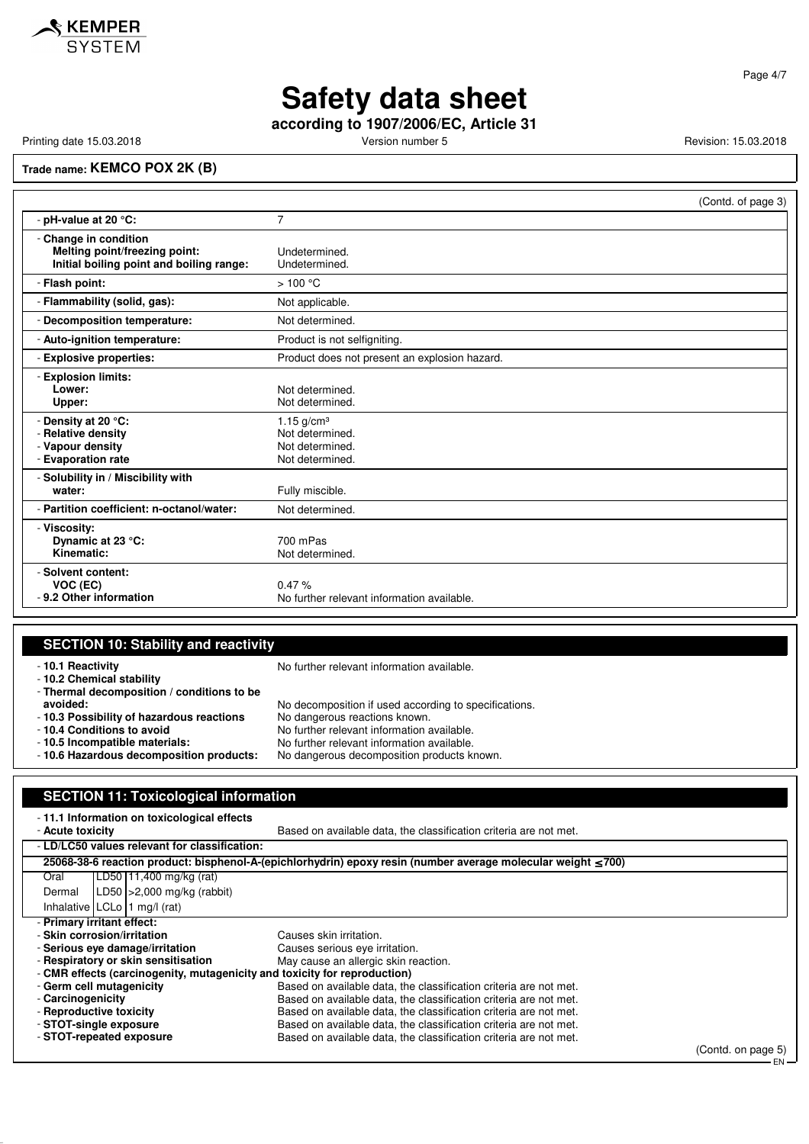

**according to 1907/2006/EC, Article 31**

Printing date 15.03.2018 **Printing date 15.03.2018** Version number 5 Revision: 15.03.2018

## **Trade name: KEMCO POX 2K (B)**

|                                                                                                    | (Contd. of page 3)                                                    |
|----------------------------------------------------------------------------------------------------|-----------------------------------------------------------------------|
| - pH-value at 20 °C:                                                                               | $\overline{7}$                                                        |
| - Change in condition<br>Melting point/freezing point:<br>Initial boiling point and boiling range: | Undetermined.<br>Undetermined.                                        |
| - Flash point:                                                                                     | >100 °C                                                               |
| - Flammability (solid, gas):                                                                       | Not applicable.                                                       |
| - Decomposition temperature:                                                                       | Not determined.                                                       |
| - Auto-ignition temperature:                                                                       | Product is not selfigniting.                                          |
| - Explosive properties:                                                                            | Product does not present an explosion hazard.                         |
| - Explosion limits:<br>Lower:<br>Upper:                                                            | Not determined.<br>Not determined.                                    |
| - Density at 20 °C:<br>- Relative density<br>- Vapour density<br>- Evaporation rate                | 1.15 $g/cm3$<br>Not determined.<br>Not determined.<br>Not determined. |
| - Solubility in / Miscibility with<br>water:                                                       | Fully miscible.                                                       |
| - Partition coefficient: n-octanol/water:                                                          | Not determined.                                                       |
| - Viscosity:<br>Dynamic at 23 °C:<br>Kinematic:                                                    | 700 mPas<br>Not determined.                                           |
| - Solvent content:<br>VOC (EC)<br>- 9.2 Other information                                          | 0.47%<br>No further relevant information available.                   |

### **SECTION 10: Stability and reactivity**

| -10.1 Reactivity<br>- 10.2 Chemical stability                                                       | No further relevant information available.                                               |
|-----------------------------------------------------------------------------------------------------|------------------------------------------------------------------------------------------|
| - Thermal decomposition / conditions to be<br>avoided:<br>- 10.3 Possibility of hazardous reactions | No decomposition if used according to specifications.<br>No dangerous reactions known.   |
| -10.4 Conditions to avoid                                                                           | No further relevant information available.                                               |
| -10.5 Incompatible materials:<br>- 10.6 Hazardous decomposition products:                           | No further relevant information available.<br>No dangerous decomposition products known. |
|                                                                                                     |                                                                                          |

### **SECTION 11: Toxicological information**

| -11.1 Information on toxicological effects                                |                                                                                                               |                                                                   |                    |
|---------------------------------------------------------------------------|---------------------------------------------------------------------------------------------------------------|-------------------------------------------------------------------|--------------------|
| - Acute toxicity                                                          |                                                                                                               | Based on available data, the classification criteria are not met. |                    |
|                                                                           | - LD/LC50 values relevant for classification:                                                                 |                                                                   |                    |
|                                                                           | 25068-38-6 reaction product: bisphenol-A-(epichlorhydrin) epoxy resin (number average molecular weight ≤ 700) |                                                                   |                    |
| Oral                                                                      | LD50 11,400 mg/kg (rat)                                                                                       |                                                                   |                    |
| Dermal                                                                    | LD50 $ >2,000$ mg/kg (rabbit)                                                                                 |                                                                   |                    |
|                                                                           | Inhalative $ LCLo $ 1 mg/l (rat)                                                                              |                                                                   |                    |
|                                                                           | - Primary irritant effect:                                                                                    |                                                                   |                    |
|                                                                           | - Skin corrosion/irritation                                                                                   | Causes skin irritation.                                           |                    |
| - Serious eve damage/irritation<br>Causes serious eye irritation.         |                                                                                                               |                                                                   |                    |
| - Respiratory or skin sensitisation                                       |                                                                                                               | May cause an allergic skin reaction.                              |                    |
| - CMR effects (carcinogenity, mutagenicity and toxicity for reproduction) |                                                                                                               |                                                                   |                    |
|                                                                           | - Germ cell mutagenicity                                                                                      | Based on available data, the classification criteria are not met. |                    |
| - Carcinogenicity                                                         |                                                                                                               | Based on available data, the classification criteria are not met. |                    |
|                                                                           | - Reproductive toxicity                                                                                       | Based on available data, the classification criteria are not met. |                    |
|                                                                           | - STOT-single exposure                                                                                        | Based on available data, the classification criteria are not met. |                    |
|                                                                           | - STOT-repeated exposure                                                                                      | Based on available data, the classification criteria are not met. |                    |
|                                                                           |                                                                                                               |                                                                   | (Contd. on page 5) |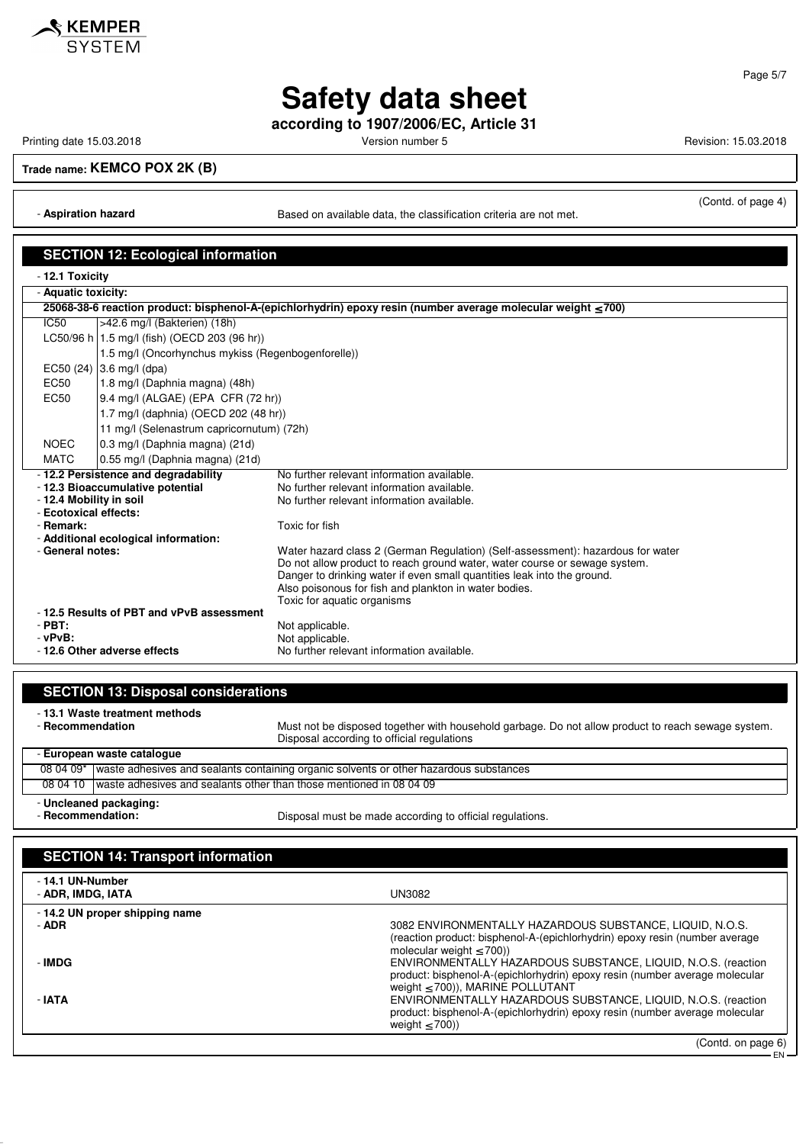

**according to 1907/2006/EC, Article 31**

Printing date 15.03.2018 **Printing date 15.03.2018** Version number 5 Revision: 15.03.2018

**Trade name: KEMCO POX 2K (B)**

(Contd. of page 4)

- **Aspiration hazard Based on available data, the classification criteria are not met.** 

|                                    | <b>SECTION 12: Ecological information</b>                                  |                                                                                                               |
|------------------------------------|----------------------------------------------------------------------------|---------------------------------------------------------------------------------------------------------------|
| - 12.1 Toxicity                    |                                                                            |                                                                                                               |
| - Aquatic toxicity:                |                                                                            |                                                                                                               |
|                                    |                                                                            | 25068-38-6 reaction product: bisphenol-A-(epichlorhydrin) epoxy resin (number average molecular weight ≤ 700) |
| IC50                               | >42.6 mg/l (Bakterien) (18h)                                               |                                                                                                               |
|                                    | LC50/96 h   1.5 mg/l (fish) (OECD 203 (96 hr))                             |                                                                                                               |
|                                    | 1.5 mg/l (Oncorhynchus mykiss (Regenbogenforelle))                         |                                                                                                               |
|                                    | EC50 (24) 3.6 mg/l (dpa)                                                   |                                                                                                               |
| <b>EC50</b>                        | 1.8 mg/l (Daphnia magna) (48h)                                             |                                                                                                               |
| EC <sub>50</sub>                   | 9.4 mg/l (ALGAE) (EPA CFR (72 hr))                                         |                                                                                                               |
|                                    | 1.7 mg/l (daphnia) (OECD 202 (48 hr))                                      |                                                                                                               |
|                                    | 11 mg/l (Selenastrum capricornutum) (72h)                                  |                                                                                                               |
| <b>NOEC</b>                        | 0.3 mg/l (Daphnia magna) (21d)                                             |                                                                                                               |
| <b>MATC</b>                        | 0.55 mg/l (Daphnia magna) (21d)                                            |                                                                                                               |
|                                    | -12.2 Persistence and degradability                                        | No further relevant information available.                                                                    |
|                                    | - 12.3 Bioaccumulative potential                                           | No further relevant information available.                                                                    |
| - 12.4 Mobility in soil            |                                                                            | No further relevant information available.                                                                    |
| - Ecotoxical effects:<br>- Remark: |                                                                            | Toxic for fish                                                                                                |
|                                    | - Additional ecological information:                                       |                                                                                                               |
| - General notes:                   |                                                                            | Water hazard class 2 (German Regulation) (Self-assessment): hazardous for water                               |
|                                    |                                                                            | Do not allow product to reach ground water, water course or sewage system.                                    |
|                                    |                                                                            | Danger to drinking water if even small quantities leak into the ground.                                       |
|                                    |                                                                            | Also poisonous for fish and plankton in water bodies.                                                         |
|                                    |                                                                            | Toxic for aquatic organisms                                                                                   |
| $-$ PBT:                           | -12.5 Results of PBT and vPvB assessment                                   | Not applicable.                                                                                               |
| $-vPvB$ :                          |                                                                            | Not applicable.                                                                                               |
|                                    | No further relevant information available.<br>- 12.6 Other adverse effects |                                                                                                               |
|                                    |                                                                            |                                                                                                               |

| <b>SECTION 13: Disposal considerations</b>                                                       |                                                                                                         |                                                                                                    |
|--------------------------------------------------------------------------------------------------|---------------------------------------------------------------------------------------------------------|----------------------------------------------------------------------------------------------------|
| - 13.1 Waste treatment methods<br>- Recommendation<br>Disposal according to official regulations |                                                                                                         | Must not be disposed together with household garbage. Do not allow product to reach sewage system. |
|                                                                                                  | - European waste catalogue                                                                              |                                                                                                    |
| 08 04 09*                                                                                        |                                                                                                         | waste adhesives and sealants containing organic solvents or other hazardous substances             |
| 08 04 10                                                                                         |                                                                                                         | waste adhesives and sealants other than those mentioned in 08 04 09                                |
|                                                                                                  | - Uncleaned packaging:<br>- Recommendation:<br>Disposal must be made according to official regulations. |                                                                                                    |
|                                                                                                  | <b>SECTION 14: Transport information</b>                                                                |                                                                                                    |
|                                                                                                  | - 14.1 UN-Number<br>UN3082<br>- ADR, IMDG, IATA                                                         |                                                                                                    |
| - ADR                                                                                            | -14.2 UN proper shipping name                                                                           | 3082 ENVIRONMENTALLY HAZARDOUS SUBSTANCE, LIQUID, N.O.S.                                           |

(reaction product: bisphenol-A-(epichlorhydrin) epoxy resin (number average molecular weight ≤ 700)) - **IMDG** ENVIRONMENTALLY HAZARDOUS SUBSTANCE, LIQUID, N.O.S. (reaction product: bisphenol-A-(epichlorhydrin) epoxy resin (number average molecular weight ≤ 700)), MARINE POLLUTANT - **IATA** ENVIRONMENTALLY HAZARDOUS SUBSTANCE, LIQUID, N.O.S. (reaction product: bisphenol-A-(epichlorhydrin) epoxy resin (number average molecular weight  $\leq$  700))

Page 5/7



(Contd. on page 6)

EN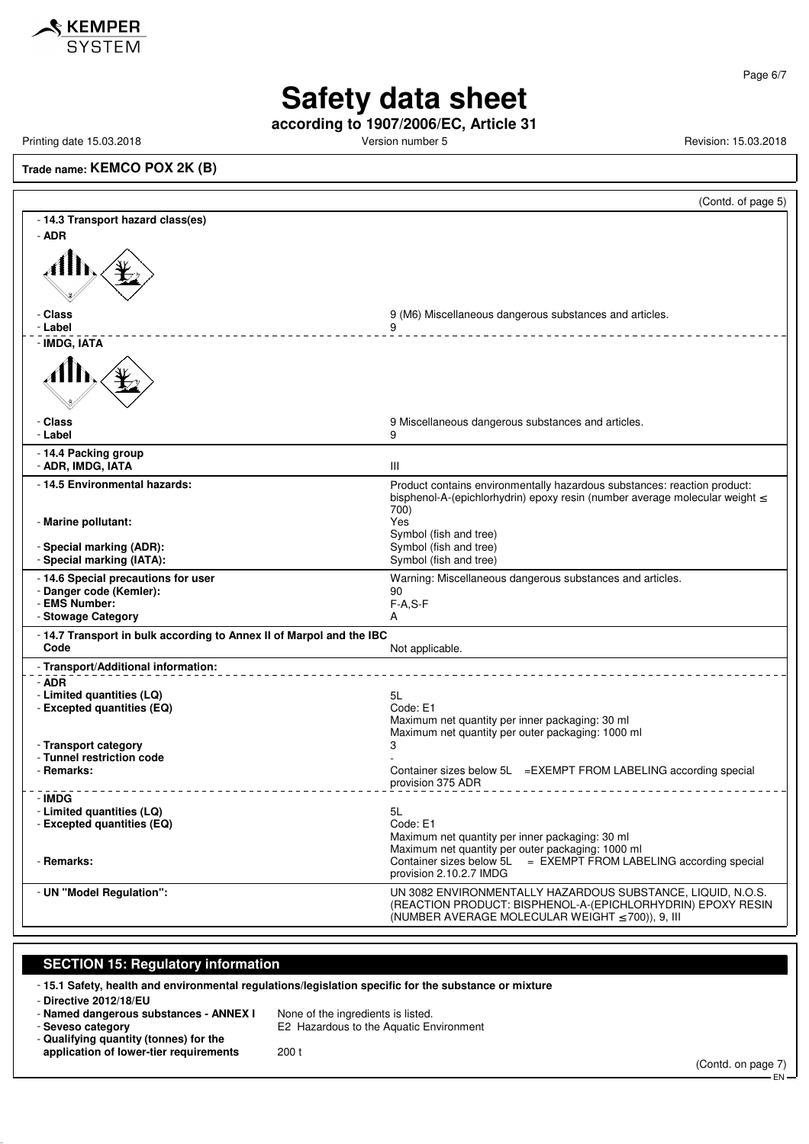

Page 6/7

# **Safety data sheet**

**according to 1907/2006/EC, Article 31**

Printing date 15.03.2018 **Printing date 15.03.2018** Version number 5 Revision: 15.03.2018

**Trade name: KEMCO POX 2K (B)**

|                                                                              | (Contd. of page 5)                                                                                                                                                                  |
|------------------------------------------------------------------------------|-------------------------------------------------------------------------------------------------------------------------------------------------------------------------------------|
| - 14.3 Transport hazard class(es)                                            |                                                                                                                                                                                     |
| - ADR                                                                        |                                                                                                                                                                                     |
|                                                                              |                                                                                                                                                                                     |
| - Class                                                                      | 9 (M6) Miscellaneous dangerous substances and articles.                                                                                                                             |
| - Label<br>- IMDG, IATA                                                      | ___________________________________                                                                                                                                                 |
|                                                                              |                                                                                                                                                                                     |
| - Class<br>- Label                                                           | 9 Miscellaneous dangerous substances and articles.<br>9                                                                                                                             |
| - 14.4 Packing group<br>- ADR, IMDG, IATA                                    | Ш                                                                                                                                                                                   |
| - 14.5 Environmental hazards:                                                | Product contains environmentally hazardous substances: reaction product:<br>bisphenol-A-(epichlorhydrin) epoxy resin (number average molecular weight $\leq$<br>700)                |
| - Marine pollutant:                                                          | Yes<br>Symbol (fish and tree)                                                                                                                                                       |
| - Special marking (ADR):<br>- Special marking (IATA):                        | Symbol (fish and tree)<br>Symbol (fish and tree)                                                                                                                                    |
| - 14.6 Special precautions for user<br>- Danger code (Kemler):               | Warning: Miscellaneous dangerous substances and articles.                                                                                                                           |
| - EMS Number:                                                                | 90<br>$F-A, S-F$                                                                                                                                                                    |
| - Stowage Category                                                           | A                                                                                                                                                                                   |
| - 14.7 Transport in bulk according to Annex II of Marpol and the IBC<br>Code | Not applicable.                                                                                                                                                                     |
| - Transport/Additional information:                                          |                                                                                                                                                                                     |
| - ADR                                                                        |                                                                                                                                                                                     |
| - Limited quantities (LQ)<br>- Excepted quantities (EQ)                      | 5L<br>Code: E1                                                                                                                                                                      |
|                                                                              | Maximum net quantity per inner packaging: 30 ml                                                                                                                                     |
| - Transport category                                                         | Maximum net quantity per outer packaging: 1000 ml<br>3                                                                                                                              |
| - Tunnel restriction code                                                    |                                                                                                                                                                                     |
| - Remarks:                                                                   | Container sizes below 5L = EXEMPT FROM LABELING according special<br>provision 375 ADR                                                                                              |
| - IMDG                                                                       |                                                                                                                                                                                     |
| - Limited quantities (LQ)<br>- Excepted quantities (EQ)                      | 5L<br>Code: E1                                                                                                                                                                      |
|                                                                              | Maximum net quantity per inner packaging: 30 ml                                                                                                                                     |
| - Remarks:                                                                   | Maximum net quantity per outer packaging: 1000 ml<br>Container sizes below 5L = EXEMPT FROM LABELING according special<br>provision 2.10.2.7 IMDG                                   |
| - UN "Model Regulation":                                                     | UN 3082 ENVIRONMENTALLY HAZARDOUS SUBSTANCE, LIQUID, N.O.S.<br>(REACTION PRODUCT: BISPHENOL-A-(EPICHLORHYDRIN) EPOXY RESIN<br>(NUMBER AVERAGE MOLECULAR WEIGHT $\leq$ 700)), 9, III |
|                                                                              |                                                                                                                                                                                     |

#### **SECTION 15: Regulatory information**

- **15.1 Safety, health and environmental regulations/legislation specific for the substance or mixture**

- **Directive 2012/18/EU**

- **Named dangerous substances - ANNEX I** None of the ingredients is listed.

- **Seveso category** E2 Hazardous to the Aquatic Environment

- **Qualifying quantity (tonnes) for the application of lower-tier requirements** 200 t

(Contd. on page 7) – EN